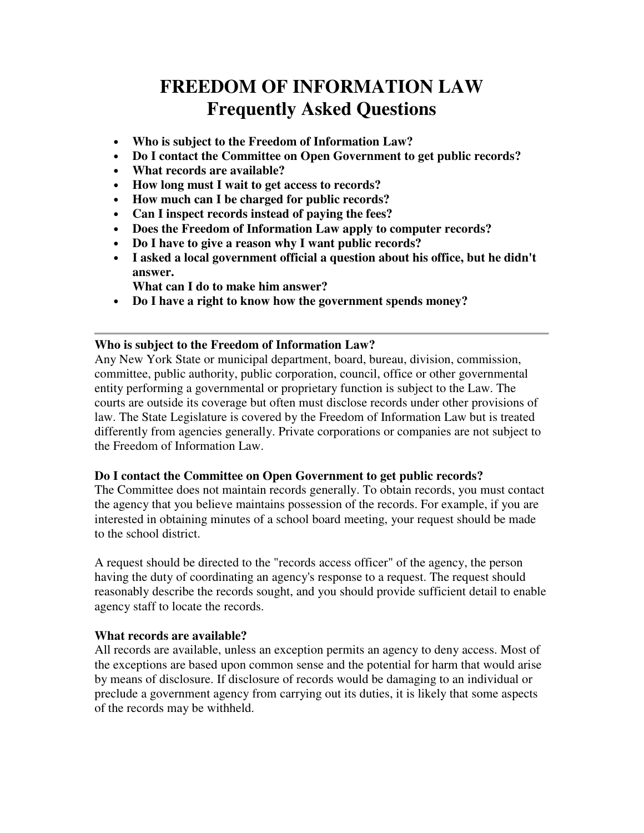# **FREEDOM OF INFORMATION LAW Frequently Asked Questions**

- **Who is subject to the Freedom of Information Law?**
- **Do I contact the Committee on Open Government to get public records?**
- **What records are available?**
- **How long must I wait to get access to records?**
- **How much can I be charged for public records?**
- **Can I inspect records instead of paying the fees?**
- **Does the Freedom of Information Law apply to computer records?**
- **Do I have to give a reason why I want public records?**
- **I asked a local government official a question about his office, but he didn't answer.**

**What can I do to make him answer?** 

• **Do I have a right to know how the government spends money?**

# **Who is subject to the Freedom of Information Law?**

Any New York State or municipal department, board, bureau, division, commission, committee, public authority, public corporation, council, office or other governmental entity performing a governmental or proprietary function is subject to the Law. The courts are outside its coverage but often must disclose records under other provisions of law. The State Legislature is covered by the Freedom of Information Law but is treated differently from agencies generally. Private corporations or companies are not subject to the Freedom of Information Law.

# **Do I contact the Committee on Open Government to get public records?**

The Committee does not maintain records generally. To obtain records, you must contact the agency that you believe maintains possession of the records. For example, if you are interested in obtaining minutes of a school board meeting, your request should be made to the school district.

A request should be directed to the "records access officer" of the agency, the person having the duty of coordinating an agency's response to a request. The request should reasonably describe the records sought, and you should provide sufficient detail to enable agency staff to locate the records.

# **What records are available?**

All records are available, unless an exception permits an agency to deny access. Most of the exceptions are based upon common sense and the potential for harm that would arise by means of disclosure. If disclosure of records would be damaging to an individual or preclude a government agency from carrying out its duties, it is likely that some aspects of the records may be withheld.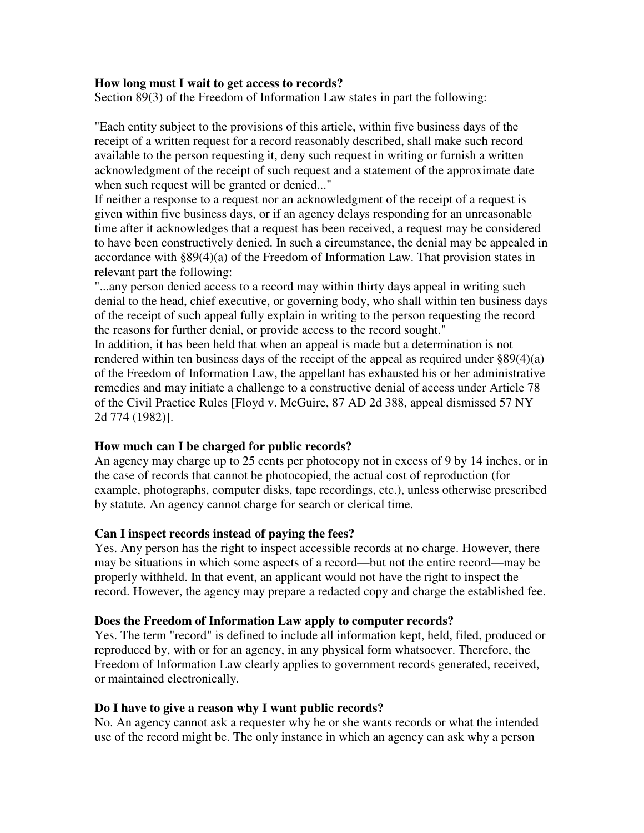### **How long must I wait to get access to records?**

Section 89(3) of the Freedom of Information Law states in part the following:

"Each entity subject to the provisions of this article, within five business days of the receipt of a written request for a record reasonably described, shall make such record available to the person requesting it, deny such request in writing or furnish a written acknowledgment of the receipt of such request and a statement of the approximate date when such request will be granted or denied..."

If neither a response to a request nor an acknowledgment of the receipt of a request is given within five business days, or if an agency delays responding for an unreasonable time after it acknowledges that a request has been received, a request may be considered to have been constructively denied. In such a circumstance, the denial may be appealed in accordance with §89(4)(a) of the Freedom of Information Law. That provision states in relevant part the following:

"...any person denied access to a record may within thirty days appeal in writing such denial to the head, chief executive, or governing body, who shall within ten business days of the receipt of such appeal fully explain in writing to the person requesting the record the reasons for further denial, or provide access to the record sought."

In addition, it has been held that when an appeal is made but a determination is not rendered within ten business days of the receipt of the appeal as required under §89(4)(a) of the Freedom of Information Law, the appellant has exhausted his or her administrative remedies and may initiate a challenge to a constructive denial of access under Article 78 of the Civil Practice Rules [Floyd v. McGuire, 87 AD 2d 388, appeal dismissed 57 NY 2d 774 (1982)].

# **How much can I be charged for public records?**

An agency may charge up to 25 cents per photocopy not in excess of 9 by 14 inches, or in the case of records that cannot be photocopied, the actual cost of reproduction (for example, photographs, computer disks, tape recordings, etc.), unless otherwise prescribed by statute. An agency cannot charge for search or clerical time.

#### **Can I inspect records instead of paying the fees?**

Yes. Any person has the right to inspect accessible records at no charge. However, there may be situations in which some aspects of a record—but not the entire record—may be properly withheld. In that event, an applicant would not have the right to inspect the record. However, the agency may prepare a redacted copy and charge the established fee.

#### **Does the Freedom of Information Law apply to computer records?**

Yes. The term "record" is defined to include all information kept, held, filed, produced or reproduced by, with or for an agency, in any physical form whatsoever. Therefore, the Freedom of Information Law clearly applies to government records generated, received, or maintained electronically.

### **Do I have to give a reason why I want public records?**

No. An agency cannot ask a requester why he or she wants records or what the intended use of the record might be. The only instance in which an agency can ask why a person